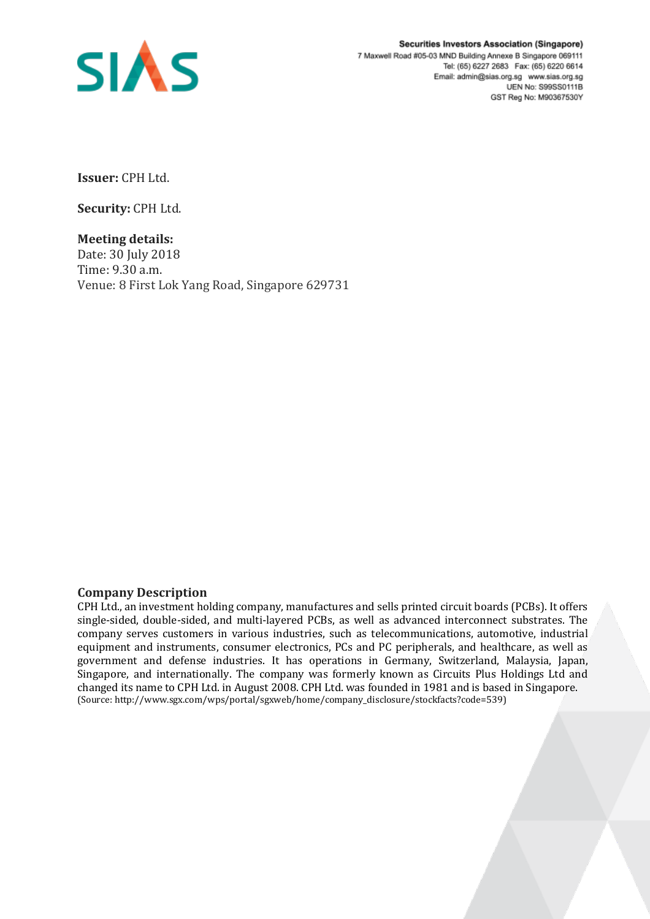

**Securities Investors Association (Singapore)** 7 Maxwell Road #05-03 MND Building Annexe B Singapore 069111 Tel: (65) 6227 2683 Fax: (65) 6220 6614 Email: admin@sias.org.sg www.sias.org.sg **UEN No: S99SS0111B** GST Reg No: M90367530Y

**Issuer:** CPH Ltd.

**Security:** CPH Ltd.

**Meeting details:**  Date: 30 July 2018 Time: 9.30 a.m. Venue: 8 First Lok Yang Road, Singapore 629731

### **Company Description**

CPH Ltd., an investment holding company, manufactures and sells printed circuit boards (PCBs). It offers single-sided, double-sided, and multi-layered PCBs, as well as advanced interconnect substrates. The company serves customers in various industries, such as telecommunications, automotive, industrial equipment and instruments, consumer electronics, PCs and PC peripherals, and healthcare, as well as government and defense industries. It has operations in Germany, Switzerland, Malaysia, Japan, Singapore, and internationally. The company was formerly known as Circuits Plus Holdings Ltd and changed its name to CPH Ltd. in August 2008. CPH Ltd. was founded in 1981 and is based in Singapore. (Source: http://www.sgx.com/wps/portal/sgxweb/home/company\_disclosure/stockfacts?code=539)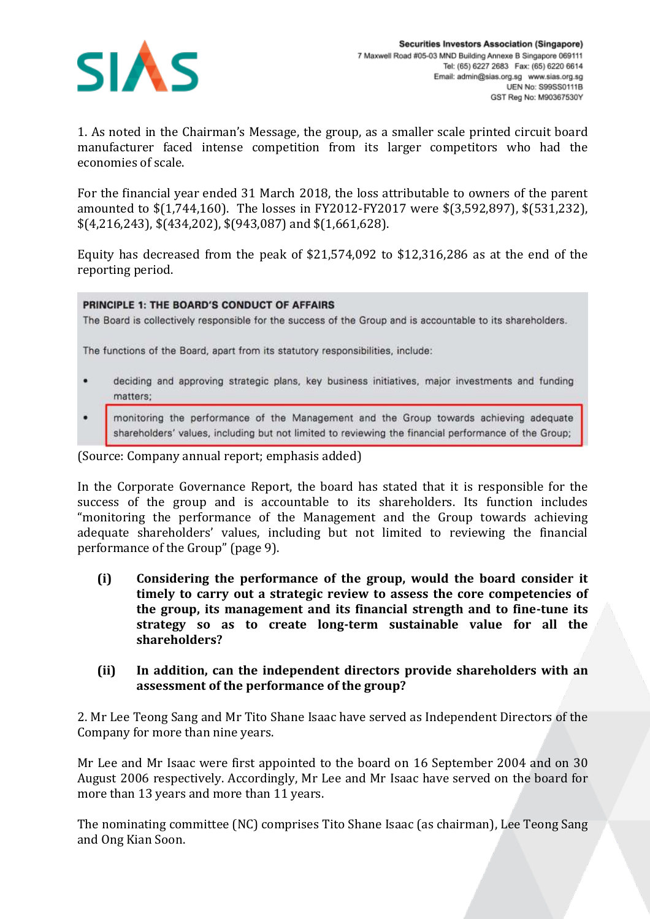

1. As noted in the Chairman's Message, the group, as a smaller scale printed circuit board manufacturer faced intense competition from its larger competitors who had the economies of scale.

For the financial year ended 31 March 2018, the loss attributable to owners of the parent amounted to \$(1,744,160). The losses in FY2012-FY2017 were \$(3,592,897), \$(531,232), \$(4,216,243), \$(434,202), \$(943,087) and \$(1,661,628).

Equity has decreased from the peak of \$21,574,092 to \$12,316,286 as at the end of the reporting period.

#### PRINCIPLE 1: THE BOARD'S CONDUCT OF AFFAIRS

The Board is collectively responsible for the success of the Group and is accountable to its shareholders.

The functions of the Board, apart from its statutory responsibilities, include:

- deciding and approving strategic plans, key business initiatives, major investments and funding matters;
- monitoring the performance of the Management and the Group towards achieving adequate shareholders' values, including but not limited to reviewing the financial performance of the Group;

(Source: Company annual report; emphasis added)

In the Corporate Governance Report, the board has stated that it is responsible for the success of the group and is accountable to its shareholders. Its function includes "monitoring the performance of the Management and the Group towards achieving adequate shareholders' values, including but not limited to reviewing the financial performance of the Group" (page 9).

- **(i) Considering the performance of the group, would the board consider it timely to carry out a strategic review to assess the core competencies of the group, its management and its financial strength and to fine-tune its strategy so as to create long-term sustainable value for all the shareholders?**
- **(ii) In addition, can the independent directors provide shareholders with an assessment of the performance of the group?**

2. Mr Lee Teong Sang and Mr Tito Shane Isaac have served as Independent Directors of the Company for more than nine years.

Mr Lee and Mr Isaac were first appointed to the board on 16 September 2004 and on 30 August 2006 respectively. Accordingly, Mr Lee and Mr Isaac have served on the board for more than 13 years and more than 11 years.

The nominating committee (NC) comprises Tito Shane Isaac (as chairman), Lee Teong Sang and Ong Kian Soon.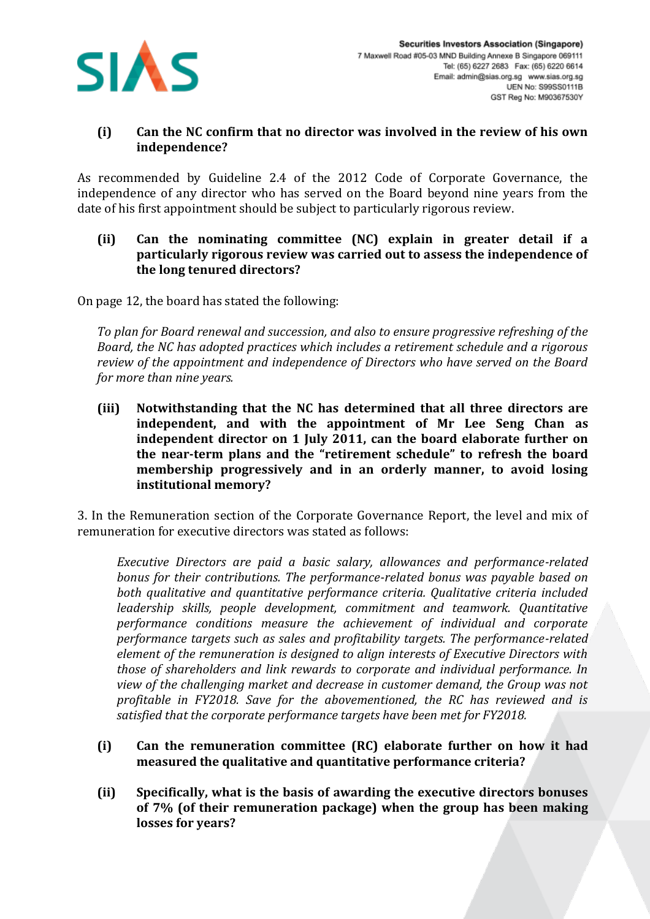

# **(i) Can the NC confirm that no director was involved in the review of his own independence?**

As recommended by Guideline 2.4 of the 2012 Code of Corporate Governance, the independence of any director who has served on the Board beyond nine years from the date of his first appointment should be subject to particularly rigorous review.

### **(ii) Can the nominating committee (NC) explain in greater detail if a particularly rigorous review was carried out to assess the independence of the long tenured directors?**

On page 12, the board has stated the following:

*To plan for Board renewal and succession, and also to ensure progressive refreshing of the Board, the NC has adopted practices which includes a retirement schedule and a rigorous review of the appointment and independence of Directors who have served on the Board for more than nine years.*

**(iii) Notwithstanding that the NC has determined that all three directors are independent, and with the appointment of Mr Lee Seng Chan as independent director on 1 July 2011, can the board elaborate further on the near-term plans and the "retirement schedule" to refresh the board membership progressively and in an orderly manner, to avoid losing institutional memory?**

3. In the Remuneration section of the Corporate Governance Report, the level and mix of remuneration for executive directors was stated as follows:

*Executive Directors are paid a basic salary, allowances and performance-related bonus for their contributions. The performance-related bonus was payable based on both qualitative and quantitative performance criteria. Qualitative criteria included leadership skills, people development, commitment and teamwork. Quantitative performance conditions measure the achievement of individual and corporate performance targets such as sales and profitability targets. The performance-related element of the remuneration is designed to align interests of Executive Directors with those of shareholders and link rewards to corporate and individual performance. In view of the challenging market and decrease in customer demand, the Group was not profitable in FY2018. Save for the abovementioned, the RC has reviewed and is satisfied that the corporate performance targets have been met for FY2018.*

- **(i) Can the remuneration committee (RC) elaborate further on how it had measured the qualitative and quantitative performance criteria?**
- **(ii) Specifically, what is the basis of awarding the executive directors bonuses of 7% (of their remuneration package) when the group has been making losses for years?**